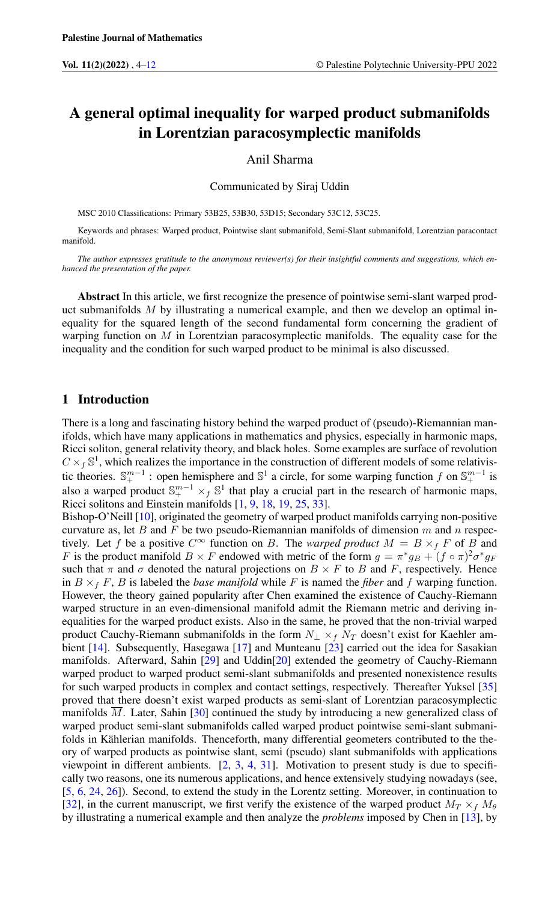# A general optimal inequality for warped product submanifolds in Lorentzian paracosymplectic manifolds

#### Anil Sharma

Communicated by Siraj Uddin

MSC 2010 Classifications: Primary 53B25, 53B30, 53D15; Secondary 53C12, 53C25.

Keywords and phrases: Warped product, Pointwise slant submanifold, Semi-Slant submanifold, Lorentzian paracontact manifold.

*The author expresses gratitude to the anonymous reviewer(s) for their insightful comments and suggestions, which enhanced the presentation of the paper.*

Abstract In this article, we first recognize the presence of pointwise semi-slant warped product submanifolds M by illustrating a numerical example, and then we develop an optimal inequality for the squared length of the second fundamental form concerning the gradient of warping function on  $M$  in Lorentzian paracosymplectic manifolds. The equality case for the inequality and the condition for such warped product to be minimal is also discussed.

# 1 Introduction

There is a long and fascinating history behind the warped product of (pseudo)-Riemannian manifolds, which have many applications in mathematics and physics, especially in harmonic maps, Ricci soliton, general relativity theory, and black holes. Some examples are surface of revolution  $C \times_f \mathbb{S}^1$ , which realizes the importance in the construction of different models of some relativistic theories.  $\mathbb{S}^{m-1}_+$ : open hemisphere and  $\mathbb{S}^1$  a circle, for some warping function f on  $\mathbb{S}^{m-1}_+$  is also a warped product  $\mathbb{S}^{m-1}_+ \times_f \mathbb{S}^1$  that play a crucial part in the research of harmonic maps, Ricci solitons and Einstein manifolds [\[1,](#page-7-1) [9,](#page-7-2) [18,](#page-7-3) [19,](#page-7-4) [25,](#page-7-5) [33\]](#page-8-0).

Bishop-O'Neill [\[10\]](#page-7-6), originated the geometry of warped product manifolds carrying non-positive curvature as, let B and F be two pseudo-Riemannian manifolds of dimension  $m$  and  $n$  respectively. Let f be a positive  $C^{\infty}$  function on B. The *warped product*  $M = B \times_{f} F$  of B and F is the product manifold  $B \times F$  endowed with metric of the form  $g = \pi^* g_B + (f \circ \pi)^2 \sigma^* g_F$ such that  $\pi$  and  $\sigma$  denoted the natural projections on  $B \times F$  to B and F, respectively. Hence in  $B \times_f F$ , B is labeled the *base manifold* while F is named the *fiber* and f warping function. However, the theory gained popularity after Chen examined the existence of Cauchy-Riemann warped structure in an even-dimensional manifold admit the Riemann metric and deriving inequalities for the warped product exists. Also in the same, he proved that the non-trivial warped product Cauchy-Riemann submanifolds in the form  $N_+ \times_f N_T$  doesn't exist for Kaehler ambient [\[14\]](#page-7-7). Subsequently, Hasegawa [\[17\]](#page-7-8) and Munteanu [\[23\]](#page-7-9) carried out the idea for Sasakian manifolds. Afterward, Sahin [\[29\]](#page-7-10) and Uddin[\[20\]](#page-7-11) extended the geometry of Cauchy-Riemann warped product to warped product semi-slant submanifolds and presented nonexistence results for such warped products in complex and contact settings, respectively. Thereafter Yuksel [\[35\]](#page-8-1) proved that there doesn't exist warped products as semi-slant of Lorentzian paracosymplectic manifolds M. Later, Sahin [\[30\]](#page-8-2) continued the study by introducing a new generalized class of warped product semi-slant submanifolds called warped product pointwise semi-slant submanifolds in Kählerian manifolds. Thenceforth, many differential geometers contributed to the theory of warped products as pointwise slant, semi (pseudo) slant submanifolds with applications viewpoint in different ambients. [\[2,](#page-7-12) [3,](#page-7-13) [4,](#page-7-14) [31\]](#page-8-3). Motivation to present study is due to specifically two reasons, one its numerous applications, and hence extensively studying nowadays (see, [\[5,](#page-7-15) [6,](#page-7-16) [24,](#page-7-17) [26\]](#page-7-18)). Second, to extend the study in the Lorentz setting. Moreover, in continuation to [\[32\]](#page-8-4), in the current manuscript, we first verify the existence of the warped product  $M_T \times_f M_\theta$ by illustrating a numerical example and then analyze the *problems* imposed by Chen in [\[13\]](#page-7-19), by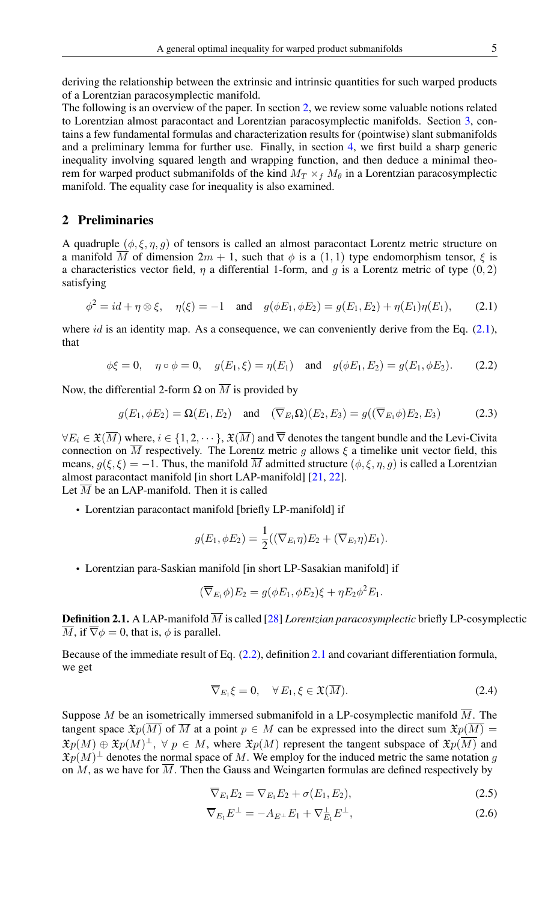The following is an overview of the paper. In section [2,](#page-1-0) we review some valuable notions related to Lorentzian almost paracontact and Lorentzian paracosymplectic manifolds. Section [3,](#page-2-0) contains a few fundamental formulas and characterization results for (pointwise) slant submanifolds and a preliminary lemma for further use. Finally, in section [4,](#page-3-0) we first build a sharp generic inequality involving squared length and wrapping function, and then deduce a minimal theorem for warped product submanifolds of the kind  $M_T \times_f M_\theta$  in a Lorentzian paracosymplectic manifold. The equality case for inequality is also examined.

# <span id="page-1-0"></span>2 Preliminaries

A quadruple  $(\phi, \xi, \eta, g)$  of tensors is called an almost paracontact Lorentz metric structure on a manifold  $\overline{M}$  of dimension  $2m + 1$ , such that  $\phi$  is a  $(1, 1)$  type endomorphism tensor,  $\xi$  is a characteristics vector field,  $\eta$  a differential 1-form, and q is a Lorentz metric of type  $(0, 2)$ satisfying

$$
\phi^2 = id + \eta \otimes \xi, \quad \eta(\xi) = -1 \quad \text{and} \quad g(\phi E_1, \phi E_2) = g(E_1, E_2) + \eta(E_1)\eta(E_1), \tag{2.1}
$$

where  $id$  is an identity map. As a consequence, we can conveniently derive from the Eq.  $(2.1)$ , that

$$
\phi\xi = 0
$$
,  $\eta \circ \phi = 0$ ,  $g(E_1, \xi) = \eta(E_1)$  and  $g(\phi E_1, E_2) = g(E_1, \phi E_2)$ . (2.2)

Now, the differential 2-form  $\Omega$  on  $\overline{M}$  is provided by

$$
g(E_1, \phi E_2) = \Omega(E_1, E_2) \quad \text{and} \quad (\overline{\nabla}_{E_1} \Omega)(E_2, E_3) = g((\overline{\nabla}_{E_1} \phi)E_2, E_3) \tag{2.3}
$$

 $\forall E_i \in \mathfrak{X}(\overline{M})$  where,  $i \in \{1, 2, \dots\}$ ,  $\mathfrak{X}(\overline{M})$  and  $\overline{\nabla}$  denotes the tangent bundle and the Levi-Civita connection on  $\overline{M}$  respectively. The Lorentz metric g allows  $\xi$  a timelike unit vector field, this means,  $g(\xi, \xi) = -1$ . Thus, the manifold  $\overline{M}$  admitted structure  $(\phi, \xi, \eta, g)$  is called a Lorentzian almost paracontact manifold [in short LAP-manifold] [\[21,](#page-7-20) [22\]](#page-7-21). Let  $\overline{M}$  be an LAP-manifold. Then it is called

• Lorentzian paracontact manifold [briefly LP-manifold] if

<span id="page-1-2"></span><span id="page-1-1"></span>
$$
g(E_1, \phi E_2) = \frac{1}{2} ((\overline{\nabla}_{E_1} \eta) E_2 + (\overline{\nabla}_{E_2} \eta) E_1).
$$

• Lorentzian para-Saskian manifold [in short LP-Sasakian manifold] if

$$
(\overline{\nabla}_{E_1}\phi)E_2 = g(\phi E_1, \phi E_2)\xi + \eta E_2\phi^2 E_1.
$$

<span id="page-1-3"></span>**Definition 2.1.** A LAP-manifold  $\overline{M}$  is called [\[28\]](#page-7-22) *Lorentzian paracosymplectic* briefly LP-cosymplectic  $\overline{M}$ , if  $\overline{\nabla}\phi = 0$ , that is,  $\phi$  is parallel.

Because of the immediate result of Eq. [\(2.2\)](#page-1-2), definition [2.1](#page-1-3) and covariant differentiation formula, we get

<span id="page-1-4"></span>
$$
\overline{\nabla}_{E_1}\xi = 0, \quad \forall E_1, \xi \in \mathfrak{X}(\overline{M}). \tag{2.4}
$$

Suppose M be an isometrically immersed submanifold in a LP-cosymplectic manifold  $\overline{M}$ . The tangent space  $\mathfrak{X}_p(\overline{M})$  of  $\overline{M}$  at a point  $p \in M$  can be expressed into the direct sum  $\mathfrak{X}_p(\overline{M}) =$  $\mathfrak{X}p(M) \oplus \mathfrak{X}p(M)^{\perp}$ ,  $\forall p \in M$ , where  $\mathfrak{X}p(M)$  represent the tangent subspace of  $\mathfrak{X}p(\overline{M})$  and  $\mathfrak{X}p(M)^{\perp}$  denotes the normal space of M. We employ for the induced metric the same notation g on M, as we have for  $\overline{M}$ . Then the Gauss and Weingarten formulas are defined respectively by

<span id="page-1-5"></span>
$$
\overline{\nabla}_{E_1} E_2 = \nabla_{E_1} E_2 + \sigma(E_1, E_2), \qquad (2.5)
$$

$$
\overline{\nabla}_{E_1} E^{\perp} = -A_{E^{\perp}} E_1 + \nabla_{E_1}^{\perp} E^{\perp}, \qquad (2.6)
$$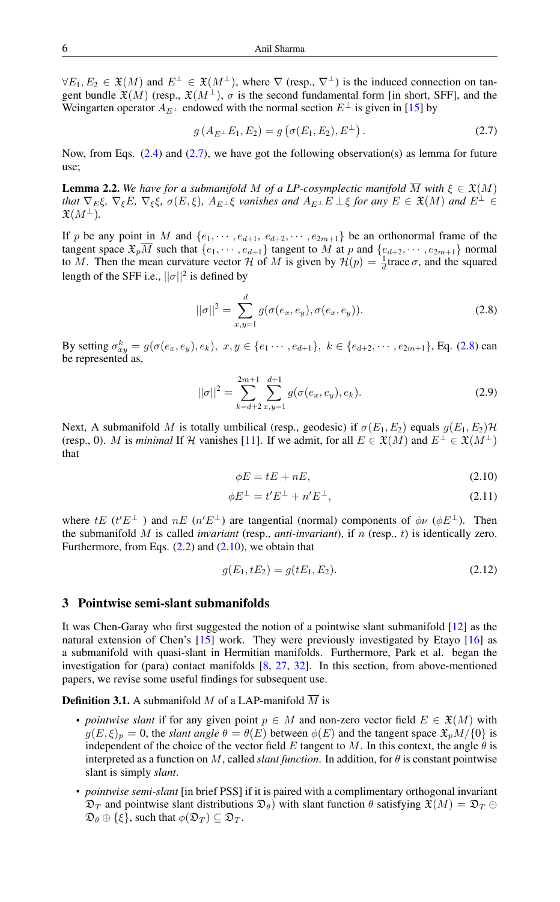$\forall E_1, E_2 \in \mathfrak{X}(M)$  and  $E^{\perp} \in \mathfrak{X}(M^{\perp})$ , where  $\nabla$  (resp.,  $\nabla^{\perp}$ ) is the induced connection on tangent bundle  $\mathfrak{X}(M)$  (resp.,  $\mathfrak{X}(M^{\perp})$ ,  $\sigma$  is the second fundamental form [in short, SFF], and the Weingarten operator  $A_{E^{\perp}}$  endowed with the normal section  $E^{\perp}$  is given in [\[15\]](#page-7-23) by

<span id="page-2-1"></span>
$$
g(A_{E^{\perp}}E_1, E_2) = g(\sigma(E_1, E_2), E^{\perp}). \tag{2.7}
$$

Now, from Eqs.  $(2.4)$  and  $(2.7)$ , we have got the following observation(s) as lemma for future use;

<span id="page-2-5"></span>**Lemma 2.2.** We have for a submanifold M of a LP-cosymplectic manifold  $\overline{M}$  with  $\xi \in \mathfrak{X}(M)$ *that*  $\nabla_E \xi$ ,  $\nabla_{\xi} E$ ,  $\nabla_{\xi} \xi$ ,  $\sigma(E, \xi)$ ,  $A_{E^{\perp}} \xi$  *vanishes and*  $A_{E^{\perp}} E \perp \xi$  *for any*  $E \in \mathfrak{X}(M)$  *and*  $E^{\perp} \in$  $\mathfrak{X}(M^{\perp}).$ 

If p be any point in M and  $\{e_1, \dots, e_{d+1}, e_{d+2}, \dots, e_{2m+1}\}$  be an orthonormal frame of the tangent space  $\mathfrak{X}_p\overline{M}$  such that  $\{e_1,\cdots,e_{d+1}\}$  tangent to M at p and  $\{e_{d+2},\cdots,e_{2m+1}\}$  normal to M. Then the mean curvature vector H of M is given by  $\mathcal{H}(p) = \frac{1}{d}$ trace  $\sigma$ , and the squared length of the SFF i.e.,  $||\sigma||^2$  is defined by

<span id="page-2-2"></span>
$$
||\sigma||^2 = \sum_{x,y=1}^d g(\sigma(e_x, e_y), \sigma(e_x, e_y)).
$$
\n(2.8)

By setting  $\sigma_{xy}^k = g(\sigma(e_x, e_y), e_k), x, y \in \{e_1 \cdots, e_{d+1}\}, k \in \{e_{d+2}, \cdots, e_{2m+1}\}, \text{Eq. (2.8) can}$  $\sigma_{xy}^k = g(\sigma(e_x, e_y), e_k), x, y \in \{e_1 \cdots, e_{d+1}\}, k \in \{e_{d+2}, \cdots, e_{2m+1}\}, \text{Eq. (2.8) can}$  $\sigma_{xy}^k = g(\sigma(e_x, e_y), e_k), x, y \in \{e_1 \cdots, e_{d+1}\}, k \in \{e_{d+2}, \cdots, e_{2m+1}\}, \text{Eq. (2.8) can}$ be represented as,

$$
||\sigma||^2 = \sum_{k=d+2}^{2m+1} \sum_{x,y=1}^{d+1} g(\sigma(e_x, e_y), e_k).
$$
 (2.9)

Next, A submanifold M is totally umbilical (resp., geodesic) if  $\sigma(E_1, E_2)$  equals  $g(E_1, E_2)\mathcal{H}$ (resp., 0). M is *minimal* If H vanishes [\[11\]](#page-7-24). If we admit, for all  $E \in \mathfrak{X}(M)$  and  $E^{\perp} \in \mathfrak{X}(M^{\perp})$ that

<span id="page-2-3"></span>
$$
\phi E = tE + nE,\tag{2.10}
$$

$$
\phi E^{\perp} = t' E^{\perp} + n' E^{\perp}, \qquad (2.11)
$$

where  $tE$  ( $t'E^{\perp}$ ) and  $nE$  ( $n'E^{\perp}$ ) are tangential (normal) components of  $\phi \nu$  ( $\phi E^{\perp}$ ). Then the submanifold  $M$  is called *invariant* (resp., *anti-invariant*), if  $n$  (resp.,  $t$ ) is identically zero. Furthermore, from Eqs.  $(2.2)$  and  $(2.10)$ , we obtain that

<span id="page-2-4"></span>
$$
g(E_1, tE_2) = g(tE_1, E_2). \tag{2.12}
$$

### <span id="page-2-0"></span>3 Pointwise semi-slant submanifolds

It was Chen-Garay who first suggested the notion of a pointwise slant submanifold [\[12\]](#page-7-25) as the natural extension of Chen's [\[15\]](#page-7-23) work. They were previously investigated by Etayo [\[16\]](#page-7-26) as a submanifold with quasi-slant in Hermitian manifolds. Furthermore, Park et al. began the investigation for (para) contact manifolds [\[8,](#page-7-27) [27,](#page-7-28) [32\]](#page-8-4). In this section, from above-mentioned papers, we revise some useful findings for subsequent use.

### **Definition 3.1.** A submanifold M of a LAP-manifold  $\overline{M}$  is

- *pointwise slant* if for any given point  $p \in M$  and non-zero vector field  $E \in \mathfrak{X}(M)$  with  $g(E, \xi)_p = 0$ , the *slant angle*  $\theta = \theta(E)$  between  $\phi(E)$  and the tangent space  $\mathfrak{X}_p M / \{0\}$  is independent of the choice of the vector field  $E$  tangent to  $M$ . In this context, the angle  $\theta$  is interpreted as a function on  $M$ , called *slant function*. In addition, for  $\theta$  is constant pointwise slant is simply *slant*.
- *pointwise semi-slant* [in brief PSS] if it is paired with a complimentary orthogonal invariant  $\mathfrak{D}_T$  and pointwise slant distributions  $\mathfrak{D}_{\theta}$ ) with slant function  $\theta$  satisfying  $\mathfrak{X}(M) = \mathfrak{D}_T \oplus \mathfrak{D}_T$  $\mathfrak{D}_{\theta} \oplus {\{\xi\}},$  such that  $\phi(\mathfrak{D}_T) \subseteq \mathfrak{D}_T$ .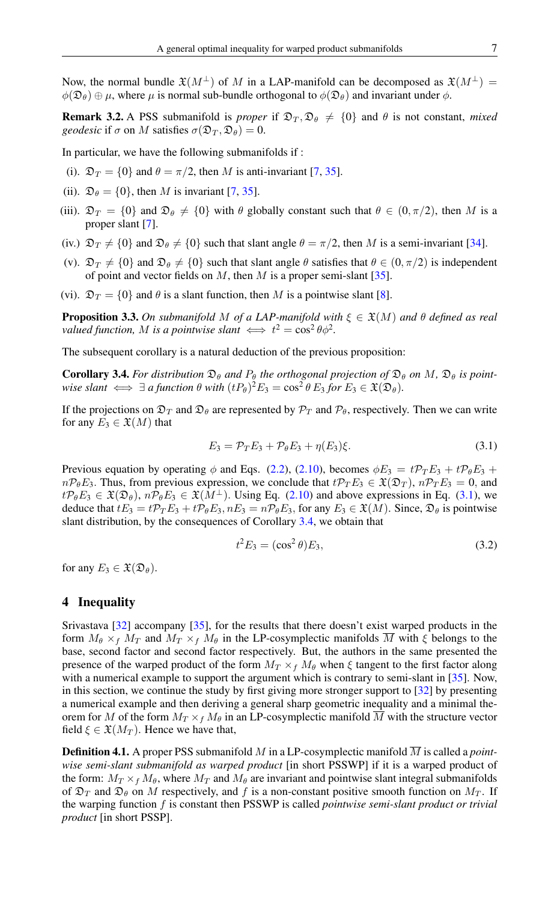Now, the normal bundle  $\mathfrak{X}(M^{\perp})$  of M in a LAP-manifold can be decomposed as  $\mathfrak{X}(M^{\perp}) =$  $\phi(\mathfrak{D}_{\theta}) \oplus \mu$ , where  $\mu$  is normal sub-bundle orthogonal to  $\phi(\mathfrak{D}_{\theta})$  and invariant under  $\phi$ .

**Remark 3.2.** A PSS submanifold is *proper* if  $\mathcal{D}_T$ ,  $\mathcal{D}_\theta \neq \{0\}$  and  $\theta$  is not constant, *mixed geodesic* if  $\sigma$  on M satisfies  $\sigma(\mathfrak{D}_T, \mathfrak{D}_\theta) = 0$ .

In particular, we have the following submanifolds if :

- (i).  $\mathfrak{D}_T = \{0\}$  and  $\theta = \pi/2$ , then M is anti-invariant [\[7,](#page-7-29) [35\]](#page-8-1).
- (ii).  $\mathfrak{D}_{\theta} = \{0\}$ , then M is invariant [\[7,](#page-7-29) [35\]](#page-8-1).
- (iii).  $\mathfrak{D}_T = \{0\}$  and  $\mathfrak{D}_{\theta} \neq \{0\}$  with  $\theta$  globally constant such that  $\theta \in (0, \pi/2)$ , then M is a proper slant [\[7\]](#page-7-29).
- (iv.)  $\mathfrak{D}_T \neq \{0\}$  and  $\mathfrak{D}_{\theta} \neq \{0\}$  such that slant angle  $\theta = \pi/2$ , then M is a semi-invariant [\[34\]](#page-8-5).
- (v).  $\mathfrak{D}_T \neq \{0\}$  and  $\mathfrak{D}_\theta \neq \{0\}$  such that slant angle  $\theta$  satisfies that  $\theta \in (0, \pi/2)$  is independent of point and vector fields on  $M$ , then  $M$  is a proper semi-slant [\[35\]](#page-8-1).
- (vi).  $\mathfrak{D}_T = \{0\}$  and  $\theta$  is a slant function, then M is a pointwise slant [\[8\]](#page-7-27).

**Proposition 3.3.** On submanifold M of a LAP-manifold with  $\xi \in \mathfrak{X}(M)$  and  $\theta$  defined as real *valued function, M is a pointwise slant*  $\iff t^2 = \cos^2 \theta \phi^2$ .

The subsequent corollary is a natural deduction of the previous proposition:

<span id="page-3-2"></span>**Corollary 3.4.** For distribution  $\mathfrak{D}_{\theta}$  and  $P_{\theta}$  the orthogonal projection of  $\mathfrak{D}_{\theta}$  on M,  $\mathfrak{D}_{\theta}$  is point*wise slant*  $\iff \exists$  *a* function  $\theta$  *with*  $(tP_{\theta})^2E_3 = \cos^2 \theta E_3$  for  $E_3 \in \mathfrak{X}(\mathfrak{D}_{\theta})$ .

If the projections on  $\mathfrak{D}_T$  and  $\mathfrak{D}_\theta$  are represented by  $\mathcal{P}_T$  and  $\mathcal{P}_\theta$ , respectively. Then we can write for any  $E_3 \in \mathfrak{X}(M)$  that

$$
E_3 = \mathcal{P}_T E_3 + \mathcal{P}_\theta E_3 + \eta(E_3)\xi. \tag{3.1}
$$

Previous equation by operating  $\phi$  and Eqs. [\(2.2\)](#page-1-2), [\(2.10\)](#page-2-3), becomes  $\phi E_3 = t \mathcal{P}_T E_3 + t \mathcal{P}_\theta E_3 +$  $n\mathcal{P}_{\theta}E_3$ . Thus, from previous expression, we conclude that  $t\mathcal{P}_T E_3 \in \mathfrak{X}(\mathfrak{D}_T)$ ,  $n\mathcal{P}_T E_3 = 0$ , and  $t\mathcal{P}_{\theta}E_3 \in \mathfrak{X}(\mathfrak{D}_{\theta})$ ,  $n\mathcal{P}_{\theta}E_3 \in \mathfrak{X}(M^{\perp})$ . Using Eq. [\(2.10\)](#page-2-3) and above expressions in Eq. [\(3.1\)](#page-3-1), we deduce that  $tE_3 = t\mathcal{P}_T E_3 + t\mathcal{P}_\theta E_3$ ,  $nE_3 = n\mathcal{P}_\theta E_3$ , for any  $E_3 \in \mathfrak{X}(M)$ . Since,  $\mathfrak{D}_\theta$  is pointwise slant distribution, by the consequences of Corollary [3.4,](#page-3-2) we obtain that

<span id="page-3-1"></span>
$$
t^2 E_3 = (\cos^2 \theta) E_3, \tag{3.2}
$$

for any  $E_3 \in \mathfrak{X}(\mathfrak{D}_{\theta}).$ 

# <span id="page-3-0"></span>4 Inequality

Srivastava [\[32\]](#page-8-4) accompany [\[35\]](#page-8-1), for the results that there doesn't exist warped products in the form  $M_{\theta} \times_f M_T$  and  $M_T \times_f M_{\theta}$  in the LP-cosymplectic manifolds  $\overline{M}$  with  $\xi$  belongs to the base, second factor and second factor respectively. But, the authors in the same presented the presence of the warped product of the form  $M_T \times_f M_\theta$  when  $\xi$  tangent to the first factor along with a numerical example to support the argument which is contrary to semi-slant in [\[35\]](#page-8-1). Now, in this section, we continue the study by first giving more stronger support to [\[32\]](#page-8-4) by presenting a numerical example and then deriving a general sharp geometric inequality and a minimal theorem for M of the form  $M_T \times_f M_\theta$  in an LP-cosymplectic manifold  $\overline{M}$  with the structure vector field  $\xi \in \mathfrak{X}(M_T)$ . Hence we have that,

**Definition 4.1.** A proper PSS submanifold M in a LP-cosymplectic manifold  $\overline{M}$  is called a *pointwise semi-slant submanifold as warped product* [in short PSSWP] if it is a warped product of the form:  $M_T \times_f M_\theta$ , where  $M_T$  and  $M_\theta$  are invariant and pointwise slant integral submanifolds of  $\mathfrak{D}_T$  and  $\mathfrak{D}_\theta$  on M respectively, and f is a non-constant positive smooth function on  $M_T$ . If the warping function f is constant then PSSWP is called *pointwise semi-slant product or trivial product* [in short PSSP].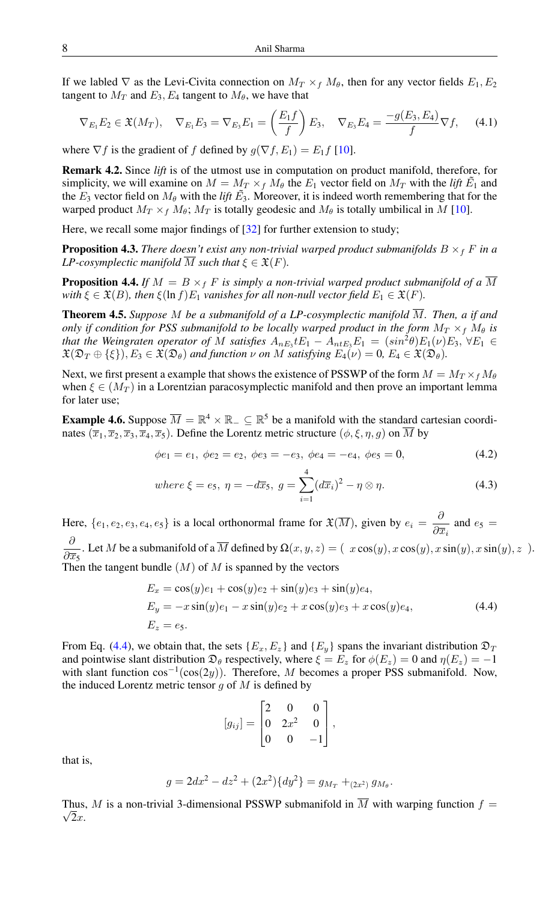If we labled  $\nabla$  as the Levi-Civita connection on  $M_T \times_f M_\theta$ , then for any vector fields  $E_1, E_2$ tangent to  $M_T$  and  $E_3$ ,  $E_4$  tangent to  $M_\theta$ , we have that

<span id="page-4-1"></span>
$$
\nabla_{E_1} E_2 \in \mathfrak{X}(M_T), \quad \nabla_{E_1} E_3 = \nabla_{E_3} E_1 = \left(\frac{E_1 f}{f}\right) E_3, \quad \nabla_{E_3} E_4 = \frac{-g(E_3, E_4)}{f} \nabla f, \tag{4.1}
$$

where  $\nabla f$  is the gradient of f defined by  $g(\nabla f, E_1) = E_1 f$  [\[10\]](#page-7-6).

Remark 4.2. Since *lift* is of the utmost use in computation on product manifold, therefore, for simplicity, we will examine on  $M = M_T \times_f M_\theta$  the  $E_1$  vector field on  $M_T$  with the *lift*  $\tilde{E_1}$  and the  $E_3$  vector field on  $M_\theta$  with the *lift*  $\tilde{E_3}$ . Moreover, it is indeed worth remembering that for the warped product  $M_T \times_f M_\theta$ ;  $M_T$  is totally geodesic and  $M_\theta$  is totally umbilical in M [\[10\]](#page-7-6).

Here, we recall some major findings of [\[32\]](#page-8-4) for further extension to study;

**Proposition 4.3.** *There doesn't exist any non-trivial warped product submanifolds*  $B \times_f F$  *in a LP-cosymplectic manifold*  $\overline{M}$  *such that*  $\xi \in \mathfrak{X}(F)$ *.* 

**Proposition 4.4.** *If*  $M = B \times_f F$  *is simply a non-trivial warped product submanifold of a*  $\overline{M}$ *with*  $\xi \in \mathfrak{X}(B)$ *, then*  $\xi(\ln f)E_1$  *vanishes for all non-null vector field*  $E_1 \in \mathfrak{X}(F)$ *.* 

**Theorem 4.5.** Suppose M be a submanifold of a LP-cosymplectic manifold  $\overline{M}$ . Then, a if and *only if condition for PSS submanifold to be locally warped product in the form*  $M_T \times_f M_\theta$  *is that the Weingraten operator of* M *satisfies*  $A_{nE_3}E_1 - A_{nE_3}E_1 = (sin^2\theta)E_1(\nu)E_3$ ,  $\forall E_1 \in$  $\mathfrak{X}(\mathfrak{D}_T \oplus \{\xi\}), E_3 \in \mathfrak{X}(\mathfrak{D}_\theta)$  and function  $\nu$  on M satisfying  $E_4(\nu) = 0$ ,  $E_4 \in \mathfrak{X}(\mathfrak{D}_\theta)$ .

Next, we first present a example that shows the existence of PSSWP of the form  $M = M_T \times f M_\theta$ when  $\xi \in (M_T)$  in a Lorentzian paracosymplectic manifold and then prove an important lemma for later use;

**Example 4.6.** Suppose  $\overline{M} = \mathbb{R}^4 \times \mathbb{R}_- \subseteq \mathbb{R}^5$  be a manifold with the standard cartesian coordinates  $(\overline{x}_1, \overline{x}_2, \overline{x}_3, \overline{x}_4, \overline{x}_5)$ . Define the Lorentz metric structure  $(\phi, \xi, \eta, g)$  on  $\overline{M}$  by

$$
\phi e_1 = e_1, \ \phi e_2 = e_2, \ \phi e_3 = -e_3, \ \phi e_4 = -e_4, \ \phi e_5 = 0,\tag{4.2}
$$

where 
$$
\xi = e_5
$$
,  $\eta = -d\overline{x}_5$ ,  $g = \sum_{i=1}^{4} (d\overline{x}_i)^2 - \eta \otimes \eta$ . (4.3)

Here,  $\{e_1, e_2, e_3, e_4, e_5\}$  is a local orthonormal frame for  $\mathfrak{X}(\overline{M})$ , given by  $e_i = \frac{\delta}{2\pi}$  $rac{\partial}{\partial \overline{x}_i}$  and  $e_5$  = ∂

 $\partial \overline{x}_5$ . Let M be a submanifold of a  $\overline{M}$  defined by  $\Omega(x, y, z) = (x \cos(y), x \cos(y), x \sin(y), x \sin(y), z)$ . Then the tangent bundle  $(M)$  of  $M$  is spanned by the vectors

$$
E_x = \cos(y)e_1 + \cos(y)e_2 + \sin(y)e_3 + \sin(y)e_4,
$$
  
\n
$$
E_y = -x \sin(y)e_1 - x \sin(y)e_2 + x \cos(y)e_3 + x \cos(y)e_4,
$$
  
\n
$$
E_z = e_5.
$$
\n(4.4)

From Eq. [\(4.4\)](#page-4-0), we obtain that, the sets  $\{E_x, E_z\}$  and  $\{E_y\}$  spans the invariant distribution  $\mathfrak{D}_T$ and pointwise slant distribution  $\mathfrak{D}_{\theta}$  respectively, where  $\xi = E_z$  for  $\phi(E_z) = 0$  and  $\eta(E_z) = -1$ with slant function  $cos^{-1}(cos(2y))$ . Therefore, M becomes a proper PSS submanifold. Now, the induced Lorentz metric tensor  $g$  of  $M$  is defined by

<span id="page-4-0"></span>
$$
[g_{ij}] = \begin{bmatrix} 2 & 0 & 0 \\ 0 & 2x^2 & 0 \\ 0 & 0 & -1 \end{bmatrix},
$$

that is,

$$
g = 2dx^2 - dz^2 + (2x^2)\{dy^2\} = g_{M_T} + (2x^2) g_{M_\theta}.
$$

Thus, M is a non-trivial 3-dimensional PSSWP submanifold in  $\overline{M}$  with warping function  $f = \overline{M}$  $\sqrt{2x}$ .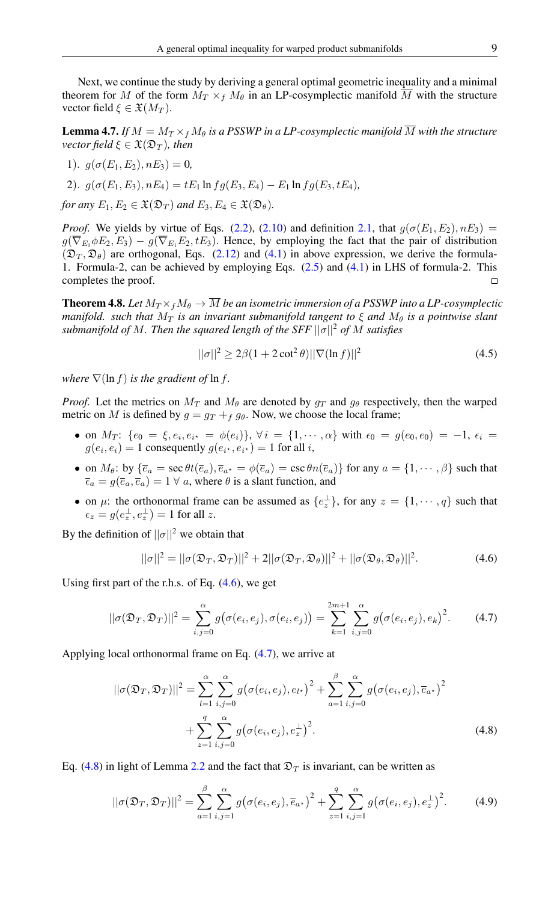Next, we continue the study by deriving a general optimal geometric inequality and a minimal theorem for M of the form  $M_T \times_f M_\theta$  in an LP-cosymplectic manifold  $\overline{M}$  with the structure vector field  $\xi \in \mathfrak{X}(M_T)$ .

<span id="page-5-4"></span>**Lemma 4.7.** If  $M = M_T \times_f M_\theta$  is a PSSWP in a LP-cosymplectic manifold  $\overline{M}$  with the structure *vector field*  $\xi \in \mathfrak{X}(\mathfrak{D}_T)$ *, then* 

1).  $q(\sigma(E_1, E_2), nE_3) = 0$ 

2). 
$$
g(\sigma(E_1, E_3), nE_4) = tE_1 \ln f g(E_3, E_4) - E_1 \ln f g(E_3, tE_4)
$$
,

*for any*  $E_1, E_2 \in \mathfrak{X}(\mathfrak{D}_T)$  *and*  $E_3, E_4 \in \mathfrak{X}(\mathfrak{D}_\theta)$ *.* 

*Proof.* We yields by virtue of Eqs. [\(2.2\)](#page-1-2), [\(2.10\)](#page-2-3) and definition [2.1,](#page-1-3) that  $g(\sigma(E_1, E_2), nE_3)$  =  $g(\overline{\nabla}_{E_1}\phi E_2, E_3) - g(\overline{\nabla}_{E_1}E_2, tE_3)$ . Hence, by employing the fact that the pair of distribution  $(\mathfrak{D}_T, \mathfrak{D}_\theta)$  are orthogonal, Eqs. [\(2.12\)](#page-2-4) and [\(4.1\)](#page-4-1) in above expression, we derive the formula-1. Formula-2, can be achieved by employing Eqs. [\(2.5\)](#page-1-5) and [\(4.1\)](#page-4-1) in LHS of formula-2. This completes the proof.  $\Box$ 

<span id="page-5-5"></span>**Theorem 4.8.** Let  $M_T \times_f M_\theta \to \overline{M}$  be an isometric immersion of a PSSWP into a LP-cosymplectic *manifold.* such that  $M_T$  *is an invariant submanifold tangent to*  $\xi$  *and*  $M_\theta$  *is a pointwise slant submanifold of* M*. Then the squared length of the SFF* ||σ||<sup>2</sup> *of* M *satisfies*

<span id="page-5-6"></span>
$$
||\sigma||^2 \ge 2\beta(1 + 2\cot^2 \theta) ||\nabla(\ln f)||^2
$$
 (4.5)

*where*  $\nabla(\ln f)$  *is the gradient of*  $\ln f$ *.* 

*Proof.* Let the metrics on  $M_T$  and  $M_\theta$  are denoted by  $q_T$  and  $q_\theta$  respectively, then the warped metric on M is defined by  $g = g_T + f g_\theta$ . Now, we choose the local frame;

- on  $M_T$ :  $\{e_0 = \xi, e_i, e_{i^*} = \phi(e_i)\}, \forall i = \{1, \cdots, \alpha\}$  with  $\epsilon_0 = g(e_0, e_0) = -1, \epsilon_i =$  $g(e_i, e_i) = 1$  consequently  $g(e_{i^*}, e_{i^*}) = 1$  for all *i*,
- on  $M_{\theta}$ : by  $\{\overline{e}_a = \sec \theta t(\overline{e}_a), \overline{e}_{a^*} = \phi(\overline{e}_a) = \csc \theta n(\overline{e}_a)\}$  for any  $a = \{1, \dots, \beta\}$  such that  $\bar{\epsilon}_a = g(\bar{e}_a, \bar{e}_a) = 1 \ \forall \ a$ , where  $\theta$  is a slant function, and
- on  $\mu$ : the orthonormal frame can be assumed as  $\{e_{z}^{\perp}\}\,$ , for any  $z = \{1, \dots, q\}$  such that  $\epsilon_z = g(e_z^{\perp}, e_z^{\perp}) = 1$  for all z.

By the definition of  $||\sigma||^2$  we obtain that

<span id="page-5-1"></span><span id="page-5-0"></span>
$$
||\sigma||^2 = ||\sigma(\mathfrak{D}_T, \mathfrak{D}_T)||^2 + 2||\sigma(\mathfrak{D}_T, \mathfrak{D}_\theta)||^2 + ||\sigma(\mathfrak{D}_\theta, \mathfrak{D}_\theta)||^2.
$$
 (4.6)

Using first part of the r.h.s. of Eq.  $(4.6)$ , we get

$$
||\sigma(\mathfrak{D}_T, \mathfrak{D}_T)||^2 = \sum_{i,j=0}^{\alpha} g(\sigma(e_i, e_j), \sigma(e_i, e_j)) = \sum_{k=1}^{2m+1} \sum_{i,j=0}^{\alpha} g(\sigma(e_i, e_j), e_k)^2.
$$
 (4.7)

Applying local orthonormal frame on Eq. [\(4.7\)](#page-5-1), we arrive at

<span id="page-5-2"></span>
$$
||\sigma(\mathfrak{D}_{T}, \mathfrak{D}_{T})||^{2} = \sum_{l=1}^{\alpha} \sum_{i,j=0}^{\alpha} g(\sigma(e_{i}, e_{j}), e_{l^{*}})^{2} + \sum_{a=1}^{\beta} \sum_{i,j=0}^{\alpha} g(\sigma(e_{i}, e_{j}), \overline{e}_{a^{*}})^{2} + \sum_{z=1}^{q} \sum_{i,j=0}^{\alpha} g(\sigma(e_{i}, e_{j}), e_{z}^{+})^{2}.
$$
\n(4.8)

Eq. [\(4.8\)](#page-5-2) in light of Lemma [2.2](#page-2-5) and the fact that  $\mathfrak{D}_T$  is invariant, can be written as

<span id="page-5-3"></span>
$$
||\sigma(\mathfrak{D}_T, \mathfrak{D}_T)||^2 = \sum_{a=1}^{\beta} \sum_{i,j=1}^{\alpha} g(\sigma(e_i, e_j), \overline{e}_{a^*})^2 + \sum_{z=1}^{q} \sum_{i,j=1}^{\alpha} g(\sigma(e_i, e_j), e_z^{\perp})^2.
$$
 (4.9)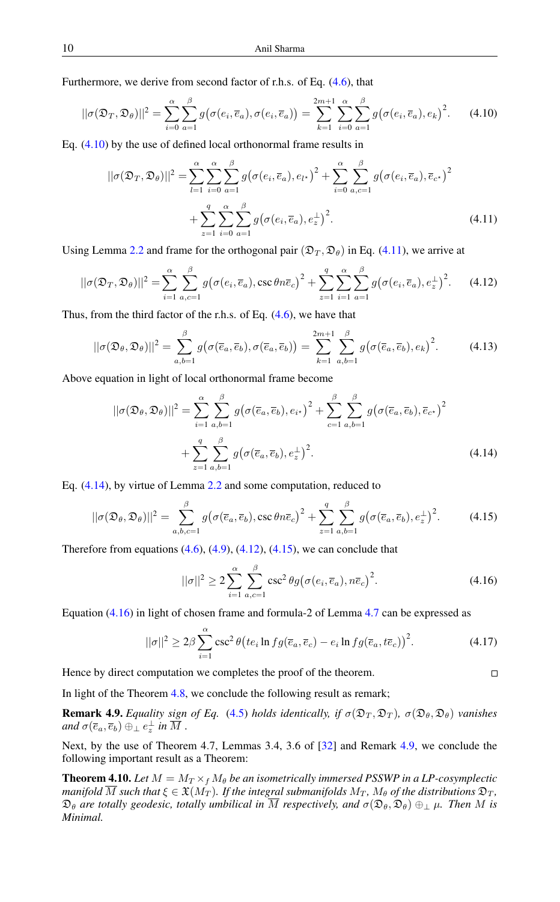Furthermore, we derive from second factor of r.h.s. of Eq. [\(4.6\)](#page-5-0), that

$$
||\sigma(\mathfrak{D}_T, \mathfrak{D}_\theta)||^2 = \sum_{i=0}^{\alpha} \sum_{a=1}^{\beta} g(\sigma(e_i, \overline{e}_a), \sigma(e_i, \overline{e}_a)) = \sum_{k=1}^{2m+1} \sum_{i=0}^{\alpha} \sum_{a=1}^{\beta} g(\sigma(e_i, \overline{e}_a), e_k)^2.
$$
 (4.10)

Eq. [\(4.10\)](#page-6-0) by the use of defined local orthonormal frame results in

<span id="page-6-1"></span><span id="page-6-0"></span>
$$
||\sigma(\mathfrak{D}_T, \mathfrak{D}_\theta)||^2 = \sum_{l=1}^{\alpha} \sum_{i=0}^{\alpha} \sum_{a=1}^{\beta} g(\sigma(e_i, \overline{e}_a), e_{l^*})^2 + \sum_{i=0}^{\alpha} \sum_{a,c=1}^{\beta} g(\sigma(e_i, \overline{e}_a), \overline{e}_{c^*})^2
$$

$$
+ \sum_{z=1}^{q} \sum_{i=0}^{\alpha} \sum_{a=1}^{\beta} g(\sigma(e_i, \overline{e}_a), e_z^{\perp})^2.
$$
(4.11)

Using Lemma [2.2](#page-2-5) and frame for the orthogonal pair  $(\mathfrak{D}_T, \mathfrak{D}_\theta)$  in Eq. [\(4.11\)](#page-6-1), we arrive at

$$
||\sigma(\mathfrak{D}_T, \mathfrak{D}_\theta)||^2 = \sum_{i=1}^{\alpha} \sum_{a,c=1}^{\beta} g(\sigma(e_i, \overline{e}_a), \csc \theta n \overline{e}_c)^2 + \sum_{z=1}^{q} \sum_{i=1}^{\alpha} \sum_{a=1}^{\beta} g(\sigma(e_i, \overline{e}_a), e_z^{\perp})^2.
$$
 (4.12)

Thus, from the third factor of the r.h.s. of Eq. [\(4.6\)](#page-5-0), we have that

$$
||\sigma(\mathfrak{D}_{\theta},\mathfrak{D}_{\theta})||^{2} = \sum_{a,b=1}^{\beta} g(\sigma(\overline{e}_{a},\overline{e}_{b}),\sigma(\overline{e}_{a},\overline{e}_{b})) = \sum_{k=1}^{2m+1} \sum_{a,b=1}^{\beta} g(\sigma(\overline{e}_{a},\overline{e}_{b}),e_{k})^{2}.
$$
 (4.13)

Above equation in light of local orthonormal frame become

<span id="page-6-3"></span>
$$
||\sigma(\mathfrak{D}_{\theta}, \mathfrak{D}_{\theta})||^{2} = \sum_{i=1}^{\alpha} \sum_{a,b=1}^{\beta} g(\sigma(\overline{e}_{a}, \overline{e}_{b}), e_{i})^{2} + \sum_{c=1}^{\beta} \sum_{a,b=1}^{\beta} g(\sigma(\overline{e}_{a}, \overline{e}_{b}), \overline{e}_{c})^{2} + \sum_{z=1}^{q} \sum_{a,b=1}^{\beta} g(\sigma(\overline{e}_{a}, \overline{e}_{b}), e_{z}^{\perp})^{2}.
$$
\n(4.14)

Eq. [\(4.14\)](#page-6-2), by virtue of Lemma [2.2](#page-2-5) and some computation, reduced to

$$
||\sigma(\mathfrak{D}_{\theta},\mathfrak{D}_{\theta})||^2 = \sum_{a,b,c=1}^{\beta} g(\sigma(\overline{e}_a,\overline{e}_b),\csc\theta n\overline{e}_c)^2 + \sum_{z=1}^{q} \sum_{a,b=1}^{\beta} g(\sigma(\overline{e}_a,\overline{e}_b),e_z^{\perp})^2.
$$
 (4.15)

Therefore from equations  $(4.6)$ ,  $(4.9)$ ,  $(4.12)$ ,  $(4.15)$ , we can conclude that

$$
||\sigma||^2 \ge 2\sum_{i=1}^{\alpha} \sum_{a,c=1}^{\beta} \csc^2 \theta g(\sigma(e_i, \overline{e}_a), n\overline{e}_c)^2.
$$
 (4.16)

<span id="page-6-5"></span><span id="page-6-4"></span><span id="page-6-2"></span> $\Box$ 

Equation [\(4.16\)](#page-6-5) in light of chosen frame and formula-2 of Lemma [4.7](#page-5-4) can be expressed as

$$
||\sigma||^2 \ge 2\beta \sum_{i=1}^{\alpha} \csc^2 \theta \left( t e_i \ln f g(\overline{e}_a, \overline{e}_c) - e_i \ln f g(\overline{e}_a, t \overline{e}_c) \right)^2.
$$
 (4.17)

Hence by direct computation we completes the proof of the theorem.

In light of the Theorem [4.8,](#page-5-5) we conclude the following result as remark;

<span id="page-6-6"></span>**Remark 4.9.** *Equality sign of Eq.* [\(4.5\)](#page-5-6) *holds identically, if*  $\sigma(\mathfrak{D}_T, \mathfrak{D}_T)$ ,  $\sigma(\mathfrak{D}_\theta, \mathfrak{D}_\theta)$  *vanishes* and  $\sigma(\overline{e}_a,\overline{e}_b) \oplus_{\perp} e^{\perp}_z$  in  $\overline{M}$  .

Next, by the use of Theorem 4.7, Lemmas 3.4, 3.6 of [\[32\]](#page-8-4) and Remark [4.9,](#page-6-6) we conclude the following important result as a Theorem:

**Theorem 4.10.** Let  $M = M_T \times_f M_\theta$  be an isometrically immersed PSSWP in a LP-cosymplectic *manifold*  $\overline{M}$  *such that*  $\xi \in \mathfrak{X}(M_T)$ *. If the integral submanifolds*  $M_T$ *,*  $M_\theta$  *of the distributions*  $\mathfrak{D}_T$ *,*  $\mathfrak{D}_{\theta}$  are totally geodesic, totally umbilical in  $\overline{M}$  respectively, and  $\sigma(\mathfrak{D}_{\theta},\mathfrak{D}_{\theta})\oplus_{\perp}\mu$ . Then M is *Minimal.*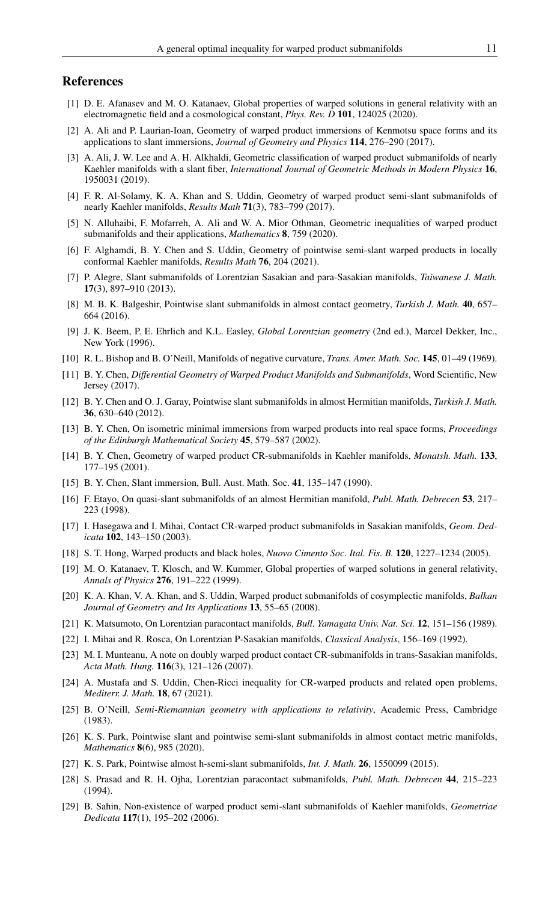#### <span id="page-7-0"></span>References

- <span id="page-7-1"></span>[1] D. E. Afanasev and M. O. Katanaev, Global properties of warped solutions in general relativity with an electromagnetic field and a cosmological constant, *Phys. Rev. D* 101, 124025 (2020).
- <span id="page-7-12"></span>[2] A. Ali and P. Laurian-Ioan, Geometry of warped product immersions of Kenmotsu space forms and its applications to slant immersions, *Journal of Geometry and Physics* 114, 276–290 (2017).
- <span id="page-7-13"></span>[3] A. Ali, J. W. Lee and A. H. Alkhaldi, Geometric classification of warped product submanifolds of nearly Kaehler manifolds with a slant fiber, *International Journal of Geometric Methods in Modern Physics* 16, 1950031 (2019).
- <span id="page-7-14"></span>[4] F. R. Al-Solamy, K. A. Khan and S. Uddin, Geometry of warped product semi-slant submanifolds of nearly Kaehler manifolds, *Results Math* 71(3), 783–799 (2017).
- <span id="page-7-15"></span>[5] N. Alluhaibi, F. Mofarreh, A. Ali and W. A. Mior Othman, Geometric inequalities of warped product submanifolds and their applications, *Mathematics* 8, 759 (2020).
- <span id="page-7-16"></span>[6] F. Alghamdi, B. Y. Chen and S. Uddin, Geometry of pointwise semi-slant warped products in locally conformal Kaehler manifolds, *Results Math* 76, 204 (2021).
- <span id="page-7-29"></span>[7] P. Alegre, Slant submanifolds of Lorentzian Sasakian and para-Sasakian manifolds, *Taiwanese J. Math.* 17(3), 897–910 (2013).
- <span id="page-7-27"></span>[8] M. B. K. Balgeshir, Pointwise slant submanifolds in almost contact geometry, *Turkish J. Math.* 40, 657– 664 (2016).
- <span id="page-7-2"></span>[9] J. K. Beem, P. E. Ehrlich and K.L. Easley, *Global Lorentzian geometry* (2nd ed.), Marcel Dekker, Inc., New York (1996).
- <span id="page-7-6"></span>[10] R. L. Bishop and B. O'Neill, Manifolds of negative curvature, *Trans. Amer. Math. Soc.* 145, 01–49 (1969).
- <span id="page-7-24"></span>[11] B. Y. Chen, *Differential Geometry of Warped Product Manifolds and Submanifolds*, Word Scientific, New Jersey (2017).
- <span id="page-7-25"></span>[12] B. Y. Chen and O. J. Garay, Pointwise slant submanifolds in almost Hermitian manifolds, *Turkish J. Math.* 36, 630–640 (2012).
- <span id="page-7-19"></span>[13] B. Y. Chen, On isometric minimal immersions from warped products into real space forms, *Proceedings of the Edinburgh Mathematical Society* 45, 579–587 (2002).
- <span id="page-7-7"></span>[14] B. Y. Chen, Geometry of warped product CR-submanifolds in Kaehler manifolds, *Monatsh. Math.* 133, 177–195 (2001).
- <span id="page-7-23"></span>[15] B. Y. Chen, Slant immersion, Bull. Aust. Math. Soc. 41, 135–147 (1990).
- <span id="page-7-26"></span>[16] F. Etayo, On quasi-slant submanifolds of an almost Hermitian manifold, *Publ. Math. Debrecen* 53, 217– 223 (1998).
- <span id="page-7-8"></span>[17] I. Hasegawa and I. Mihai, Contact CR-warped product submanifolds in Sasakian manifolds, *Geom. Dedicata* 102, 143–150 (2003).
- <span id="page-7-3"></span>[18] S. T. Hong, Warped products and black holes, *Nuovo Cimento Soc. Ital. Fis. B.* 120, 1227–1234 (2005).
- <span id="page-7-4"></span>[19] M. O. Katanaev, T. Klosch, and W. Kummer, Global properties of warped solutions in general relativity, *Annals of Physics* 276, 191–222 (1999).
- <span id="page-7-11"></span>[20] K. A. Khan, V. A. Khan, and S. Uddin, Warped product submanifolds of cosymplectic manifolds, *Balkan Journal of Geometry and Its Applications* 13, 55–65 (2008).
- <span id="page-7-20"></span>[21] K. Matsumoto, On Lorentzian paracontact manifolds, *Bull. Yamagata Univ. Nat. Sci.* 12, 151–156 (1989).
- <span id="page-7-21"></span>[22] I. Mihai and R. Rosca, On Lorentzian P-Sasakian manifolds, *Classical Analysis*, 156–169 (1992).
- <span id="page-7-9"></span>[23] M. I. Munteanu, A note on doubly warped product contact CR-submanifolds in trans-Sasakian manifolds, *Acta Math. Hung.* 116(3), 121–126 (2007).
- <span id="page-7-17"></span>[24] A. Mustafa and S. Uddin, Chen-Ricci inequality for CR-warped products and related open problems, *Mediterr. J. Math.* 18, 67 (2021).
- <span id="page-7-5"></span>[25] B. O'Neill, *Semi-Riemannian geometry with applications to relativity*, Academic Press, Cambridge (1983).
- <span id="page-7-18"></span>[26] K. S. Park, Pointwise slant and pointwise semi-slant submanifolds in almost contact metric manifolds, *Mathematics* 8(6), 985 (2020).
- <span id="page-7-28"></span>[27] K. S. Park, Pointwise almost h-semi-slant submanifolds, *Int. J. Math.* 26, 1550099 (2015).
- <span id="page-7-22"></span>[28] S. Prasad and R. H. Ojha, Lorentzian paracontact submanifolds, *Publ. Math. Debrecen* 44, 215–223 (1994).
- <span id="page-7-10"></span>[29] B. Sahin, Non-existence of warped product semi-slant submanifolds of Kaehler manifolds, *Geometriae Dedicata* 117(1), 195–202 (2006).